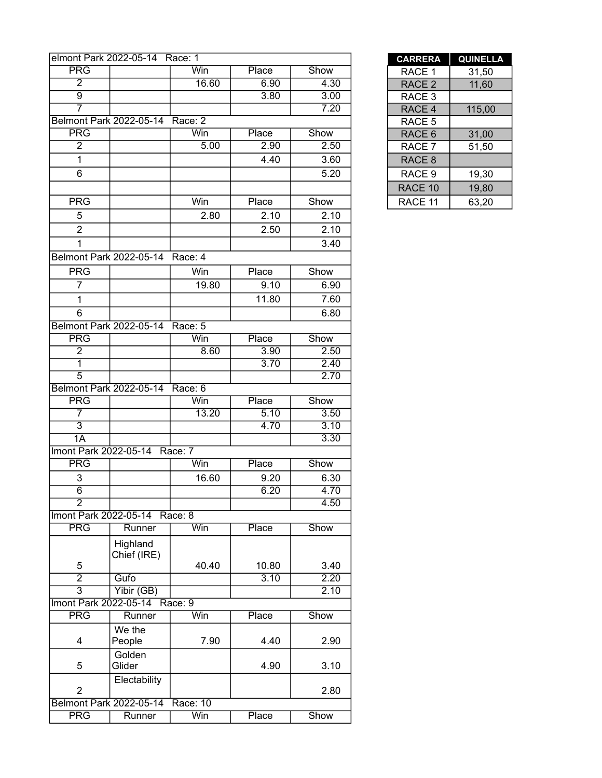|                       | elmont Park 2022-05-14 Race: 1 |            |       |      | <b>CARRERA</b>    | <b>QUINELL</b> |
|-----------------------|--------------------------------|------------|-------|------|-------------------|----------------|
| <b>PRG</b>            |                                | Win        | Place | Show | RACE 1            | 31,50          |
| $\overline{2}$        |                                | 16.60      | 6.90  | 4.30 | RACE <sub>2</sub> | 11,60          |
| $\overline{9}$        |                                |            | 3.80  | 3.00 | RACE 3            |                |
| 7                     |                                |            |       | 7.20 | RACE 4            | 115,00         |
|                       | Belmont Park 2022-05-14        | Race: 2    |       |      | RACE 5            |                |
| <b>PRG</b>            |                                | Win        | Place | Show | RACE 6            | 31,00          |
| $\overline{2}$        |                                | 5.00       | 2.90  | 2.50 | RACE 7            | 51,50          |
| $\mathbf{1}$          |                                |            | 4.40  | 3.60 | RACE 8            |                |
| 6                     |                                |            |       | 5.20 | RACE 9            | 19,30          |
|                       |                                |            |       |      | RACE 10           | 19,80          |
| <b>PRG</b>            |                                | Win        | Place | Show | RACE 11           | 63,20          |
|                       |                                |            |       |      |                   |                |
| 5                     |                                | 2.80       | 2.10  | 2.10 |                   |                |
| $\overline{2}$        |                                |            | 2.50  | 2.10 |                   |                |
| $\mathbf{1}$          |                                |            |       | 3.40 |                   |                |
|                       | Belmont Park 2022-05-14        | Race: 4    |       |      |                   |                |
| <b>PRG</b>            |                                | <b>Win</b> | Place | Show |                   |                |
| $\overline{7}$        |                                | 19.80      | 9.10  | 6.90 |                   |                |
| $\mathbf{1}$          |                                |            | 11.80 | 7.60 |                   |                |
| 6                     |                                |            |       | 6.80 |                   |                |
|                       | Belmont Park 2022-05-14        | Race: 5    |       |      |                   |                |
| <b>PRG</b>            |                                | Win        | Place | Show |                   |                |
| $\overline{2}$        |                                | 8.60       | 3.90  | 2.50 |                   |                |
| $\overline{1}$        |                                |            | 3.70  | 2.40 |                   |                |
| $\overline{5}$        |                                |            |       | 2.70 |                   |                |
|                       | Belmont Park 2022-05-14        | Race: 6    |       |      |                   |                |
| <b>PRG</b>            |                                | Win        | Place | Show |                   |                |
| 7                     |                                | 13.20      | 5.10  | 3.50 |                   |                |
| $\overline{3}$        |                                |            | 4.70  | 3.10 |                   |                |
| 1A                    |                                |            |       | 3.30 |                   |                |
| Imont Park 2022-05-14 |                                | Race: 7    |       |      |                   |                |
| <b>PRG</b>            |                                | Win        | Place | Show |                   |                |
| 3                     |                                | 16.60      | 9.20  | 6.30 |                   |                |
| $\overline{6}$        |                                |            | 6.20  | 4.70 |                   |                |
| $\overline{2}$        |                                |            |       | 4.50 |                   |                |
| Imont Park 2022-05-14 |                                | Race: 8    |       |      |                   |                |
| <b>PRG</b>            | Runner                         | Win        | Place | Show |                   |                |
|                       |                                |            |       |      |                   |                |
|                       | Highland                       |            |       |      |                   |                |
| 5                     | Chief (IRE)                    | 40.40      | 10.80 | 3.40 |                   |                |
| $\overline{2}$        | Gufo                           |            | 3.10  | 2.20 |                   |                |
| $\overline{3}$        | Yibir (GB)                     |            |       | 2.10 |                   |                |
| Imont Park 2022-05-14 |                                | Race: 9    |       |      |                   |                |
| <b>PRG</b>            | Runner                         | Win        | Place | Show |                   |                |
|                       | We the                         |            |       |      |                   |                |
| 4                     | People                         | 7.90       | 4.40  | 2.90 |                   |                |
|                       |                                |            |       |      |                   |                |
| 5                     | Golden<br>Glider               |            | 4.90  | 3.10 |                   |                |
|                       |                                |            |       |      |                   |                |
| $\overline{2}$        | Electability                   |            |       | 2.80 |                   |                |
|                       | Belmont Park 2022-05-14        | Race: 10   |       |      |                   |                |
| <b>PRG</b>            | Runner                         | Win        | Place | Show |                   |                |
|                       |                                |            |       |      |                   |                |

| <b>CARRERA</b>    | <b>QUINELLA</b> |
|-------------------|-----------------|
| RACE 1            | 31,50           |
| RACE <sub>2</sub> | 11,60           |
| RACE <sub>3</sub> |                 |
| RACE 4            | 115,00          |
| RACE 5            |                 |
| RACE <sub>6</sub> | 31,00           |
| RACE 7            | 51,50           |
| RACE 8            |                 |
| RACE 9            | 19,30           |
| RACE 10           | 19,80           |
| RACE 11           | 63,20           |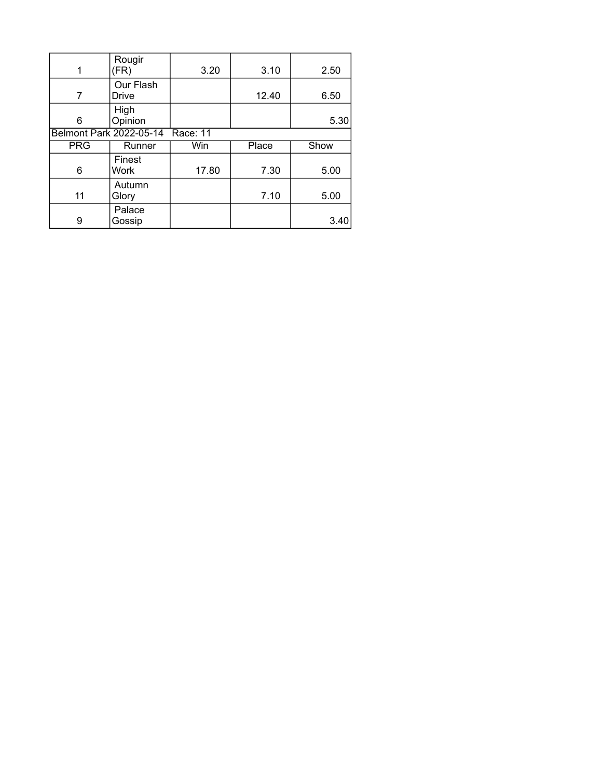| 1          | Rougir<br>(FR)            | 3.20     | 3.10  | 2.50 |
|------------|---------------------------|----------|-------|------|
| 7          | Our Flash<br><b>Drive</b> |          | 12.40 | 6.50 |
| 6          | High<br>Opinion           |          |       | 5.30 |
|            | Belmont Park 2022-05-14   | Race: 11 |       |      |
|            |                           |          |       |      |
| <b>PRG</b> | Runner                    | Win      | Place | Show |
| 6          | Finest<br>Work            | 17.80    | 7.30  | 5.00 |
| 11         | Autumn<br>Glory           |          | 7.10  | 5.00 |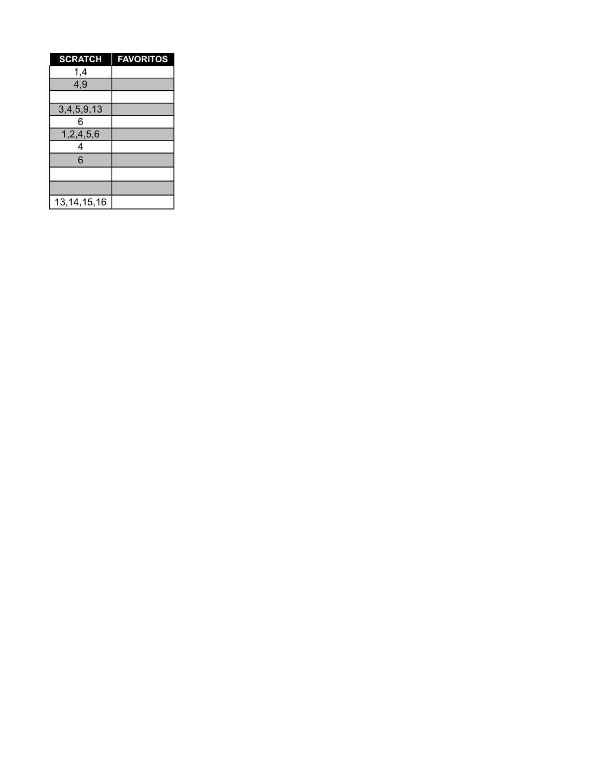| <b>SCRATCH</b> | <b>FAVORITOS</b> |
|----------------|------------------|
| 1,4            |                  |
| 4,9            |                  |
|                |                  |
| 3,4,5,9,13     |                  |
| 6              |                  |
| 1,2,4,5,6      |                  |
| 4              |                  |
| 6              |                  |
|                |                  |
|                |                  |
| 13, 14, 15, 16 |                  |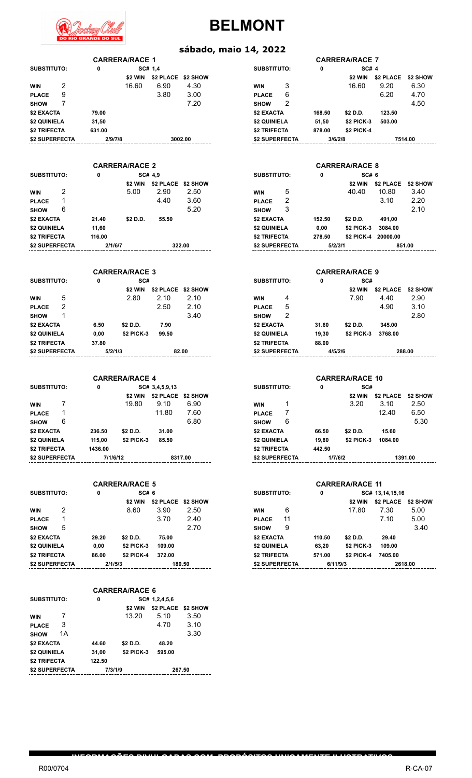

#### **sábado, maio 14, 2022**

| <b>CARRERA/RACE 1</b> |   |         |                       |           |          |                    |   |         | <b>CARRERA/RACE 7</b> |               |         |
|-----------------------|---|---------|-----------------------|-----------|----------|--------------------|---|---------|-----------------------|---------------|---------|
| <b>SUBSTITUTO:</b>    |   | 0       |                       | SC# 1.4   |          | <b>SUBSTITUTO:</b> |   | 0       | <b>SC# 4</b>          |               |         |
|                       |   |         | \$2 WIN               | \$2 PLACE | \$2 SHOW |                    |   |         | \$2 WIN               | \$2 PLACE \$2 |         |
| <b>WIN</b>            | 2 |         | 16.60                 | 6.90      | 4.30     | <b>WIN</b>         | 3 |         | 16.60                 | 9.20          | 6       |
| <b>PLACE</b>          | 9 |         |                       | 3.80      | 3.00     | <b>PLACE</b>       | 6 |         |                       | 6.20          | 4       |
| <b>SHOW</b>           | 7 |         |                       |           | 7.20     | <b>SHOW</b>        | 2 |         |                       |               | 4       |
| \$2 EXACTA            |   | 79.00   |                       |           |          | \$2 EXACTA         |   | 168.50  | \$2 D.D.              | 123.50        |         |
| \$2 QUINIELA          |   | 31,50   |                       |           |          | \$2 QUINIELA       |   | 51,50   | <b>\$2 PICK-3</b>     | 503.00        |         |
| \$2 TRIFECTA          |   | 631.00  |                       |           |          | \$2 TRIFECTA       |   | 878.00  | <b>\$2 PICK-4</b>     |               |         |
| \$2 SUPERFECTA        |   | 2/9/7/8 |                       |           | 3002.00  | \$2 SUPERFECTA     |   | 3/6/2/8 |                       |               | 7514.00 |
|                       |   |         |                       |           |          |                    |   |         |                       |               |         |
|                       |   |         | <b>CARRERA/RACE 2</b> |           |          |                    |   |         | <b>CARRERA/RACE 8</b> |               |         |
|                       |   |         |                       |           |          |                    |   |         |                       |               |         |

| SUBSTITUTO:    |   | 0       |          | SC# 4.9 |                    | <b>SUBSTITUTO:</b> |   | 0       | SC#6              |           |
|----------------|---|---------|----------|---------|--------------------|--------------------|---|---------|-------------------|-----------|
|                |   |         | \$2 WIN  |         | \$2 PLACE \$2 SHOW |                    |   |         | \$2 WIN           | \$2 PLACE |
| <b>WIN</b>     | 2 |         | 5.00     | 2.90    | 2.50               | <b>WIN</b>         | 5 |         | 40.40             | 10.80     |
| <b>PLACE</b>   |   |         |          | 4.40    | 3.60               | <b>PLACE</b>       | 2 |         |                   | 3.10      |
| <b>SHOW</b>    | 6 |         |          |         | 5.20               | <b>SHOW</b>        | 3 |         |                   |           |
| \$2 EXACTA     |   | 21.40   | \$2 D.D. | 55.50   |                    | \$2 EXACTA         |   | 152.50  | \$2 D.D.          | 491,00    |
| \$2 QUINIELA   |   | 11.60   |          |         |                    | \$2 QUINIELA       |   | 0,00    | <b>\$2 PICK-3</b> | 3084.00   |
| \$2 TRIFECTA   |   | 116.00  |          |         |                    | \$2 TRIFECTA       |   | 278.50  | <b>\$2 PICK-4</b> | 20000.00  |
| \$2 SUPERFECTA |   | 2/1/6/7 |          |         | 322.00             | \$2 SUPERFECTA     |   | 5/2/3/1 |                   | 8         |

|                | <b>CARRERA/RACE 3</b> |         |                   |           |          |                    |   |       | <b>CARRERA/RACE 9</b> |                  |        |
|----------------|-----------------------|---------|-------------------|-----------|----------|--------------------|---|-------|-----------------------|------------------|--------|
| SUBSTITUTO:    |                       | 0       | SC#               |           |          | <b>SUBSTITUTO:</b> |   | 0     | SC#                   |                  |        |
|                |                       |         | \$2 WIN           | \$2 PLACE | \$2 SHOW |                    |   |       | \$2 WIN               | <b>\$2 PLACE</b> | \$2    |
| <b>WIN</b>     | 5                     |         | 2.80              | 2.10      | 2.10     | <b>WIN</b>         | 4 |       | 7.90                  | 4.40             |        |
| <b>PLACE</b>   | 2                     |         |                   | 2.50      | 2.10     | <b>PLACE</b>       | 5 |       |                       | 4.90             |        |
| <b>SHOW</b>    |                       |         |                   |           | 3.40     | <b>SHOW</b>        | 2 |       |                       |                  |        |
| \$2 EXACTA     |                       | 6.50    | \$2 D.D.          | 7.90      |          | \$2 EXACTA         |   | 31.60 | \$2 D.D.              | 345.00           |        |
| \$2 QUINIELA   |                       | 0.00    | <b>\$2 PICK-3</b> | 99.50     |          | \$2 QUINIELA       |   | 19.30 | <b>\$2 PICK-3</b>     | 3768.00          |        |
| \$2 TRIFECTA   |                       | 37.80   |                   |           |          | \$2 TRIFECTA       |   | 88.00 |                       |                  |        |
| \$2 SUPERFECTA |                       | 5/2/1/3 |                   |           | 82.00    | \$2 SUPERFECTA     |   |       | 4/5/2/6               |                  | 288.00 |

|                |   |          | <b>CARRERA/RACE 4</b> |                |          |                       |   |         |                   | <b>CARRERA/RACE 10</b> |  |
|----------------|---|----------|-----------------------|----------------|----------|-----------------------|---|---------|-------------------|------------------------|--|
| SUBSTITUTO:    |   | 0        |                       | SC# 3,4,5,9,13 |          | <b>SUBSTITUTO:</b>    |   | 0       | SC#               |                        |  |
|                |   |          | \$2 WIN               | \$2 PLACE      | \$2 SHOW |                       |   |         | \$2 WIN           | \$2 PLACI              |  |
| <b>WIN</b>     |   |          | 19.80                 | 9.10           | 6.90     | <b>WIN</b>            |   |         | 3.20              | 3.10                   |  |
| <b>PLACE</b>   |   |          |                       | 11.80          | 7.60     | <b>PLACE</b>          |   |         |                   | 12.40                  |  |
| <b>SHOW</b>    | 6 |          |                       |                | 6.80     | <b>SHOW</b>           | 6 |         |                   |                        |  |
| \$2 EXACTA     |   | 236.50   | \$2 D.D.              | 31.00          |          | \$2 EXACTA            |   | 66.50   | \$2 D.D.          | 15.60                  |  |
| \$2 QUINIELA   |   | 115.00   | <b>\$2 PICK-3</b>     | 85.50          |          | \$2 QUINIELA          |   | 19.80   | <b>\$2 PICK-3</b> | 1084.00                |  |
| \$2 TRIFECTA   |   | 1436.00  |                       |                |          | \$2 TRIFECTA          |   | 442.50  |                   |                        |  |
| \$2 SUPERFECTA |   | 7/1/6/12 |                       |                | 8317.00  | <b>\$2 SUPERFECTA</b> |   | 1/7/6/2 |                   | 1                      |  |
|                |   |          |                       |                |          |                       |   |         |                   |                        |  |

|                    |   |         | <b>CARRERA/RACE 5</b> |           |          | <b>CARRERA/RACE 11</b> |    |          |                   |                 |
|--------------------|---|---------|-----------------------|-----------|----------|------------------------|----|----------|-------------------|-----------------|
| <b>SUBSTITUTO:</b> |   | 0       | SC# 6                 |           |          | <b>SUBSTITUTO:</b>     |    | 0        |                   | SC# 13,14,15,16 |
|                    |   |         | \$2 WIN               | \$2 PLACE | \$2 SHOW |                        |    |          | \$2 WIN           | \$2 PLACE       |
| <b>WIN</b>         | 2 |         | 8.60                  | 3.90      | 2.50     | <b>WIN</b>             | 6  |          | 17.80             | 7.30            |
| <b>PLACE</b>       |   |         |                       | 3.70      | 2.40     | <b>PLACE</b>           | 11 |          |                   | 7.10            |
| <b>SHOW</b>        | 5 |         |                       |           | 2.70     | <b>SHOW</b>            | 9  |          |                   |                 |
| \$2 EXACTA         |   | 29.20   | \$2 D.D.              | 75.00     |          | \$2 EXACTA             |    | 110.50   | \$2 D.D.          | 29.40           |
| \$2 QUINIELA       |   | 0.00    | \$2 PICK-3            | 109.00    |          | \$2 QUINIELA           |    | 63.20    | <b>\$2 PICK-3</b> | 109.00          |
| \$2 TRIFECTA       |   | 86.00   | <b>\$2 PICK-4</b>     | 372.00    |          | \$2 TRIFECTA           |    | 571.00   | <b>\$2 PICK-4</b> | 7405.00         |
| \$2 SUPERFECTA     |   | 2/1/5/3 |                       |           | 180.50   | \$2 SUPERFECTA         |    | 6/11/9/3 |                   | 261             |

|                |    |         | <b>CARRERA/RACE 6</b> |           |          |  |  |
|----------------|----|---------|-----------------------|-----------|----------|--|--|
| SUBSTITUTO:    |    | 0       | SC# 1,2,4,5,6         |           |          |  |  |
|                |    |         | \$2 WIN               | \$2 PLACE | \$2 SHOW |  |  |
| <b>WIN</b>     |    |         | 13.20                 | 5.10      | 3.50     |  |  |
| <b>PLACE</b>   | 3  |         |                       | 4.70      | 3.10     |  |  |
| <b>SHOW</b>    | 1А |         |                       |           | 3.30     |  |  |
| \$2 EXACTA     |    | 44.60   | \$2 D.D.              | 48.20     |          |  |  |
| \$2 QUINIELA   |    | 31,00   | \$2 PICK-3            | 595.00    |          |  |  |
| \$2 TRIFECTA   |    | 122.50  |                       |           |          |  |  |
| \$2 SUPERFECTA |    | 7/3/1/9 |                       | 267.50    |          |  |  |
|                |    |         |                       |           |          |  |  |

**INFORMAÇÕES DIVULGADAS COM PROPÓSITOS UNICAMENTE ILUSTRATIVOS**

| <b>NRACE 1</b> |                    |      |                |   |         | <b>CARRERA/RACE 7</b> |           |          |
|----------------|--------------------|------|----------------|---|---------|-----------------------|-----------|----------|
| SC# 1.4        |                    |      | SUBSTITUTO:    |   | 0       | <b>SC# 4</b>          |           |          |
| \$2 WIN        | \$2 PLACE \$2 SHOW |      |                |   |         | \$2 WIN               | \$2 PLACE | \$2 SHOW |
| 16.60          | 6.90               | 4.30 | <b>WIN</b>     | 3 |         | 16.60                 | 9.20      | 6.30     |
|                | 3.80               | 3.00 | <b>PLACE</b>   | 6 |         |                       | 6.20      | 4.70     |
|                |                    | 7.20 | <b>SHOW</b>    | 2 |         |                       |           | 4.50     |
|                |                    |      | \$2 EXACTA     |   | 168.50  | \$2 D.D.              | 123.50    |          |
|                |                    |      | \$2 QUINIELA   |   | 51,50   | <b>\$2 PICK-3</b>     | 503.00    |          |
|                |                    |      | \$2 TRIFECTA   |   | 878.00  | <b>\$2 PICK-4</b>     |           |          |
| 3002.00        |                    |      | \$2 SUPERFECTA |   | 3/6/2/8 |                       |           | 7514.00  |

|         | <b>CARRERA/RACE 2</b> |                    |        | <b>CARRERA/RACE 8</b> |   |         |                   |           |          |  |
|---------|-----------------------|--------------------|--------|-----------------------|---|---------|-------------------|-----------|----------|--|
| 0       |                       | SC# 4,9            |        | <b>SUBSTITUTO:</b>    |   | 0       | SC# 6             |           |          |  |
|         | \$2 WIN               | \$2 PLACE \$2 SHOW |        |                       |   |         | \$2 WIN           | \$2 PLACE | \$2 SHOW |  |
|         | 5.00                  | 2.90               | 2.50   | <b>WIN</b>            | 5 |         | 40.40             | 10.80     | 3.40     |  |
|         |                       | 4.40               | 3.60   | <b>PLACE</b>          | 2 |         |                   | 3.10      | 2.20     |  |
|         |                       |                    | 5.20   | <b>SHOW</b>           | 3 |         |                   |           | 2.10     |  |
| 21.40   | \$2 D.D.              | 55.50              |        | \$2 EXACTA            |   | 152.50  | \$2 D.D.          | 491,00    |          |  |
| 11.60   |                       |                    |        | \$2 QUINIELA          |   | 0,00    | <b>\$2 PICK-3</b> | 3084.00   |          |  |
| 16.00   |                       |                    |        | \$2 TRIFECTA          |   | 278.50  | \$2 PICK-4        | 20000.00  |          |  |
| 2/1/6/7 |                       |                    | 322.00 | \$2 SUPERFECTA        |   | 5/2/3/1 |                   |           | 851.00   |  |

| <b>CARRERA/RACE 3</b> |                   |                    | <b>CARRERA/RACE 9</b> |                |   |       |                   |           |          |
|-----------------------|-------------------|--------------------|-----------------------|----------------|---|-------|-------------------|-----------|----------|
| 0                     | SC#               |                    |                       | SUBSTITUTO:    |   | 0     | SC#               |           |          |
|                       | \$2 WIN           | \$2 PLACE \$2 SHOW |                       |                |   |       | \$2 WIN           | \$2 PLACE | \$2 SHOW |
|                       | 2.80              | 2.10               | 2.10                  | <b>WIN</b>     | 4 |       | 7.90              | 4.40      | 2.90     |
|                       |                   | 2.50               | 2.10                  | <b>PLACE</b>   | 5 |       |                   | 4.90      | 3.10     |
|                       |                   |                    | 3.40                  | <b>SHOW</b>    | 2 |       |                   |           | 2.80     |
| 6.50                  | \$2 D.D.          | 7.90               |                       | \$2 EXACTA     |   | 31.60 | \$2 D.D.          | 345.00    |          |
| 0.00                  | <b>\$2 PICK-3</b> | 99.50              |                       | \$2 QUINIELA   |   | 19.30 | <b>\$2 PICK-3</b> | 3768.00   |          |
| 37.80                 |                   |                    |                       | \$2 TRIFECTA   |   | 88.00 |                   |           |          |
|                       | 5/2/1/3           |                    | 82.00                 | \$2 SUPERFECTA |   |       | 4/5/2/6           |           | 288.00   |

|          | <b>CARRERA/RACE 4</b> |                    |         |                    |   |         | <b>CARRERA/RACE 10</b> |           |          |
|----------|-----------------------|--------------------|---------|--------------------|---|---------|------------------------|-----------|----------|
| 0        |                       | SC# 3,4,5,9,13     |         | <b>SUBSTITUTO:</b> |   | 0       | SC#                    |           |          |
|          | \$2 WIN               | \$2 PLACE \$2 SHOW |         |                    |   |         | \$2 WIN                | \$2 PLACE | \$2 SHOW |
|          | 19.80                 | 9.10               | 6.90    | <b>WIN</b>         | 1 |         | 3.20                   | 3.10      | 2.50     |
|          |                       | 11.80              | 7.60    | <b>PLACE</b>       |   |         |                        | 12.40     | 6.50     |
|          |                       |                    | 6.80    | <b>SHOW</b>        | 6 |         |                        |           | 5.30     |
| 36.50    | \$2 D.D.              | 31.00              |         | \$2 EXACTA         |   | 66.50   | \$2 D.D.               | 15.60     |          |
| 15.00    | <b>\$2 PICK-3</b>     | 85.50              |         | \$2 QUINIELA       |   | 19.80   | <b>\$2 PICK-3</b>      | 1084.00   |          |
| 136.00   |                       |                    |         | \$2 TRIFECTA       |   | 442.50  |                        |           |          |
| 7/1/6/12 |                       |                    | 8317.00 | \$2 SUPERFECTA     |   | 1/7/6/2 |                        |           | 1391.00  |

|         | <b>CARRERA/RACE 5</b> |                    |        |                |    |          | <b>CARRERA/RACE 11</b> |                 |                 |
|---------|-----------------------|--------------------|--------|----------------|----|----------|------------------------|-----------------|-----------------|
| 0       | SC# 6                 |                    |        | SUBSTITUTO:    |    | 0        |                        | SC# 13,14,15,16 |                 |
|         | \$2 WIN               | \$2 PLACE \$2 SHOW |        |                |    |          | \$2 WIN                | \$2 PLACE       | <b>\$2 SHOW</b> |
|         | 8.60                  | 3.90               | 2.50   | <b>WIN</b>     | 6  |          | 17.80                  | 7.30            | 5.00            |
|         |                       | 3.70               | 2.40   | <b>PLACE</b>   | 11 |          |                        | 7.10            | 5.00            |
|         |                       |                    | 2.70   | <b>SHOW</b>    | 9  |          |                        |                 | 3.40            |
| 29.20   | \$2 D.D.              | 75.00              |        | \$2 EXACTA     |    | 110.50   | \$2 D.D.               | 29.40           |                 |
| 0.00    | <b>\$2 PICK-3</b>     | 109.00             |        | \$2 QUINIELA   |    | 63,20    | <b>\$2 PICK-3</b>      | 109.00          |                 |
| 36.00   | <b>\$2 PICK-4</b>     | 372.00             |        | \$2 TRIFECTA   |    | 571.00   | \$2 PICK-4             | 7405.00         |                 |
| 2/1/5/3 |                       |                    | 180.50 | \$2 SUPERFECTA |    | 6/11/9/3 |                        |                 | 2618.00         |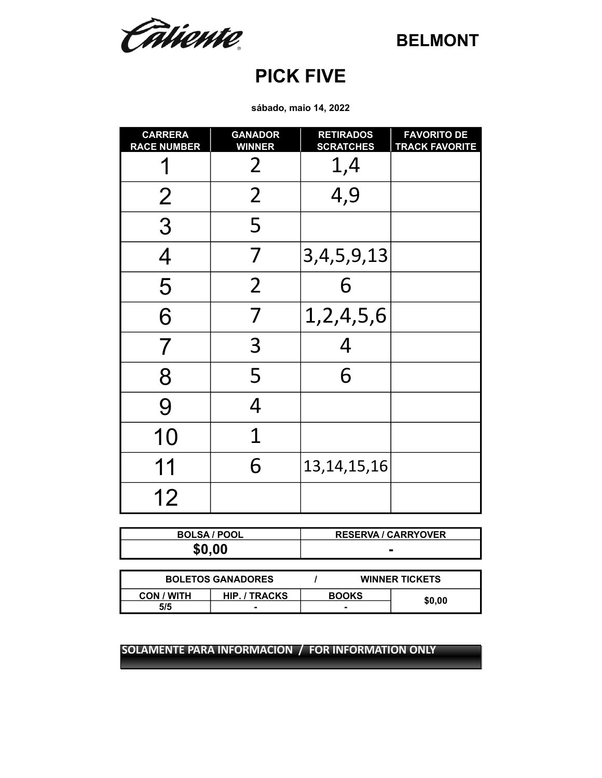Câtiente.

## **PICK FIVE**

**sábado, maio 14, 2022**

| <b>CARRERA</b><br><b>RACE NUMBER</b> | <b>GANADOR</b><br><b>WINNER</b> | <b>RETIRADOS</b><br><b>SCRATCHES</b> | <b>FAVORITO DE</b><br><b>TRACK FAVORITE</b> |
|--------------------------------------|---------------------------------|--------------------------------------|---------------------------------------------|
|                                      | $\overline{2}$                  | 1,4                                  |                                             |
| $\overline{2}$                       | $\overline{2}$                  | 4,9                                  |                                             |
| 3                                    | 5                               |                                      |                                             |
| $\overline{4}$                       | 7                               | 3, 4, 5, 9, 13                       |                                             |
| 5                                    | $\overline{2}$                  | 6                                    |                                             |
| 6                                    | 7                               | 1,2,4,5,6                            |                                             |
| $\overline{7}$                       | 3                               | 4                                    |                                             |
| 8                                    | 5                               | 6                                    |                                             |
| 9                                    | $\overline{4}$                  |                                      |                                             |
| 10                                   | 1                               |                                      |                                             |
| 11                                   | 6                               | 13, 14, 15, 16                       |                                             |
| 12                                   |                                 |                                      |                                             |

| <b>BOLSA / POOL</b> | <b>RESERVA / CARRYOVER</b> |
|---------------------|----------------------------|
| \$0.00              |                            |

| <b>BOLETOS GANADORES</b> | <b>WINNER TICKETS</b> |              |  |        |  |
|--------------------------|-----------------------|--------------|--|--------|--|
| <b>CON / WITH</b>        | HIP. / TRACKS         | <b>BOOKS</b> |  | \$0.00 |  |
| 5/5                      |                       |              |  |        |  |

**SOLAMENTE PARA INFORMACION / FOR INFORMATION ONLY SOLAMENTE PARA INFORMACION / FOR INFORMATION ONLY**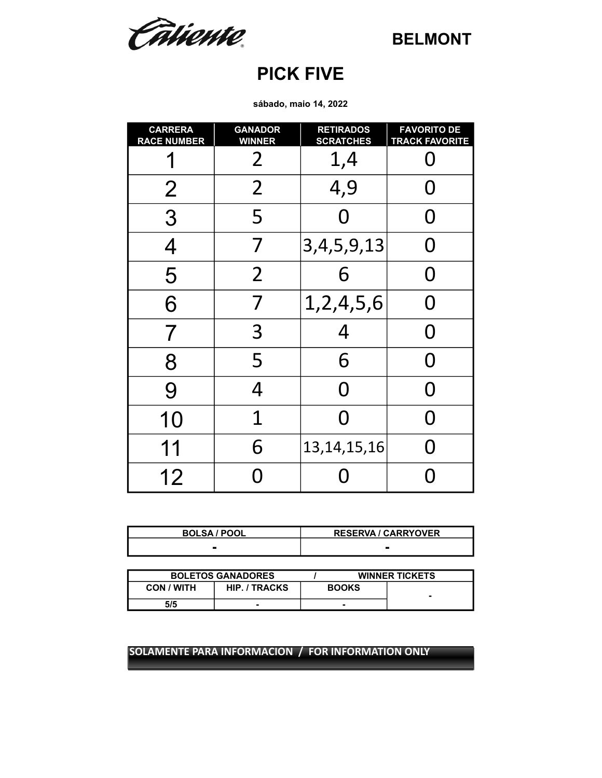Câtiente.

## **PICK FIVE**

**sábado, maio 14, 2022**

| <b>CARRERA</b><br><b>RACE NUMBER</b> | <b>GANADOR</b><br><b>WINNER</b> | <b>RETIRADOS</b><br><b>SCRATCHES</b> | <b>FAVORITO DE</b><br><b>TRACK FAVORITE</b> |
|--------------------------------------|---------------------------------|--------------------------------------|---------------------------------------------|
|                                      | $\overline{2}$                  | 1,4                                  | N                                           |
| $\overline{2}$                       | $\overline{2}$                  | 4,9                                  | O                                           |
| 3                                    | 5                               | N                                    | O                                           |
| 4                                    | 7                               | 3, 4, 5, 9, 13                       | ( )                                         |
| 5                                    | $\overline{2}$                  | 6                                    | O                                           |
| 6                                    | 7                               | 1,2,4,5,6                            | O                                           |
| 7                                    | 3                               | 4                                    | O                                           |
| 8                                    | 5                               | 6                                    | O                                           |
| 9                                    | 4                               | Ŋ                                    | O                                           |
| 10                                   | 1                               | N                                    | N                                           |
| 11                                   | 6                               | 13, 14, 15, 16                       | N                                           |
| 12                                   | O                               |                                      |                                             |

| <b>BOLSA / POOL</b> | <b>RESERVA / CARRYOVER</b> |
|---------------------|----------------------------|
|                     |                            |

|                                           | <b>BOLETOS GANADORES</b> |              | <b>WINNER TICKETS</b> |
|-------------------------------------------|--------------------------|--------------|-----------------------|
| <b>HIP. / TRACKS</b><br><b>CON / WITH</b> |                          | <b>BOOKS</b> |                       |
| 5/5                                       | -                        | -            |                       |

#### **SOLAMENTE PARA INFORMACION / FOR INFORMATION ONLY**